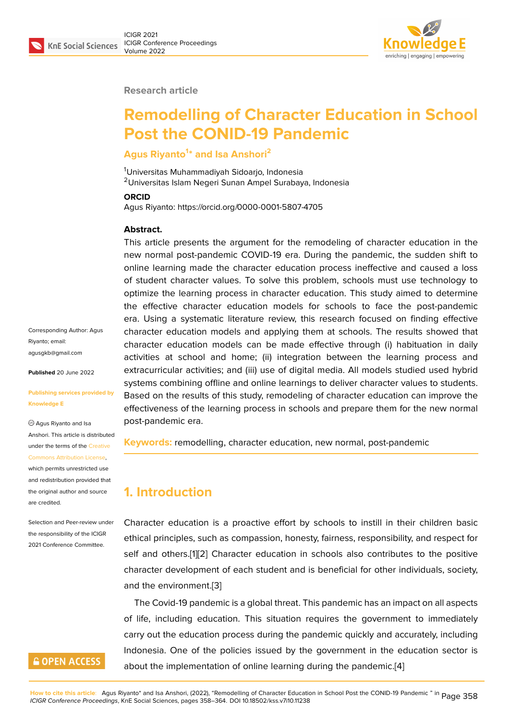

#### **Research article**

# **Remodelling of Character Education in School Post the CONID-19 Pandemic**

#### **Agus Riyanto<sup>1</sup> \* and Isa Anshori<sup>2</sup>**

<sup>1</sup>Universitas Muhammadiyah Sidoarjo, Indonesia <sup>2</sup>Universitas Islam Negeri Sunan Ampel Surabaya, Indonesia

#### **ORCID**

Agus Riyanto: https://orcid.org/0000-0001-5807-4705

#### **Abstract.**

This article presents the argument for the remodeling of character education in the new normal post-pandemic COVID-19 era. During the pandemic, the sudden shift to online learning made the character education process ineffective and caused a loss of student character values. To solve this problem, schools must use technology to optimize the learning process in character education. This study aimed to determine the effective character education models for schools to face the post-pandemic era. Using a systematic literature review, this research focused on finding effective character education models and applying them at schools. The results showed that character education models can be made effective through (i) habituation in daily activities at school and home; (ii) integration between the learning process and extracurricular activities; and (iii) use of digital media. All models studied used hybrid systems combining offline and online learnings to deliver character values to students. Based on the results of this study, remodeling of character education can improve the effectiveness of the learning process in schools and prepare them for the new normal post-pandemic era.

**Keywords:** remodelling, character education, new normal, post-pandemic

### **1. Introduction**

Character education is a proactive effort by schools to instill in their children basic ethical principles, such as compassion, honesty, fairness, responsibility, and respect for self and others.[1][2] Character education in schools also contributes to the positive character development of each student and is beneficial for other individuals, society, and the environment.[3]

The Covid-19 [pa](#page-4-0)[nd](#page-4-1)emic is a global threat. This pandemic has an impact on all aspects of life, including education. This situation requires the government to immediately carry out the educati[on](#page-4-2) process during the pandemic quickly and accurately, including Indonesia. One of the policies issued by the government in the education sector is about the implementation of online learning during the pandemic.[4]

Corresponding Author: Agus Riyanto; email: agusgkb@gmail.com

**Published** 20 June 2022

#### **[Publishing services p](mailto:agusgkb@gmail.com)rovided by Knowledge E**

Agus Riyanto and Isa Anshori. This article is distributed under the terms of the Creative Commons Attribution License,

which permits unrestricted use and redistribution provided that the original author and [source](https://creativecommons.org/licenses/by/4.0/) [are credited.](https://creativecommons.org/licenses/by/4.0/)

Selection and Peer-review under the responsibility of the ICIGR 2021 Conference Committee.

### **GOPEN ACCESS**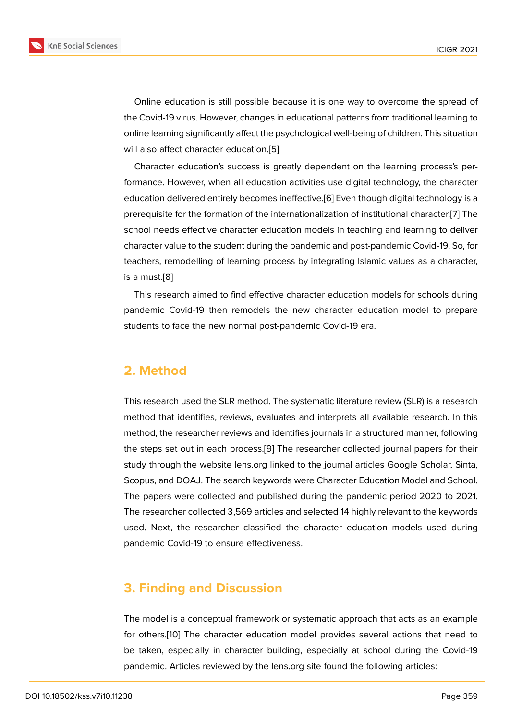Online education is still possible because it is one way to overcome the spread of the Covid-19 virus. However, changes in educational patterns from traditional learning to online learning significantly affect the psychological well-being of children. This situation will also affect character education.[5]

Character education's success is greatly dependent on the learning process's performance. However, when all education activities use digital technology, the character education delivered entirely becom[es](#page-5-0) ineffective.[6] Even though digital technology is a prerequisite for the formation of the internationalization of institutional character.[7] The school needs effective character education models in teaching and learning to deliver character value to the student during the pandemi[c](#page-5-1) and post-pandemic Covid-19. So, for teachers, remodelling of learning process by integrating Islamic values as a ch[ara](#page-5-2)cter, is a must.[8]

This research aimed to find effective character education models for schools during pandemic Covid-19 then remodels the new character education model to prepare students t[o](#page-5-3) face the new normal post-pandemic Covid-19 era.

#### **2. Method**

This research used the SLR method. The systematic literature review (SLR) is a research method that identifies, reviews, evaluates and interprets all available research. In this method, the researcher reviews and identifies journals in a structured manner, following the steps set out in each process.[9] The researcher collected journal papers for their study through the website lens.org linked to the journal articles Google Scholar, Sinta, Scopus, and DOAJ. The search keywords were Character Education Model and School. The papers were collected and p[ub](#page-5-4)lished during the pandemic period 2020 to 2021. The researcher collected 3,569 articles and selected 14 highly relevant to the keywords used. Next, the researcher classified the character education models used during pandemic Covid-19 to ensure effectiveness.

### **3. Finding and Discussion**

The model is a conceptual framework or systematic approach that acts as an example for others.[10] The character education model provides several actions that need to be taken, especially in character building, especially at school during the Covid-19 pandemic. Articles reviewed by the lens.org site found the following articles: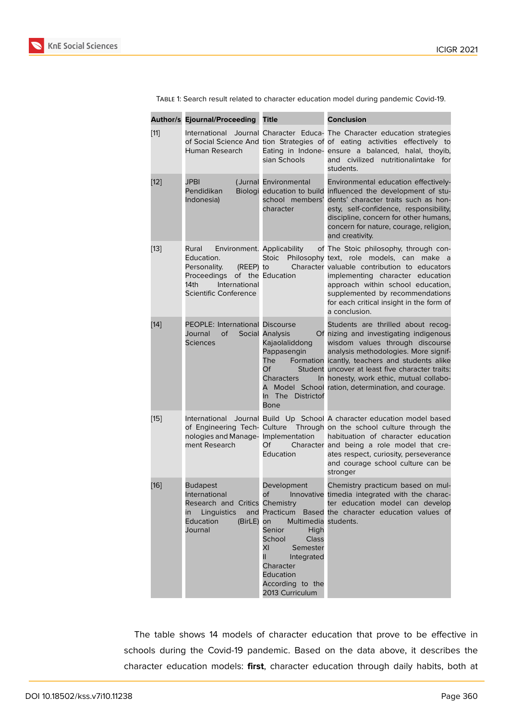|        | <b>Author/s Ejournal/Proceeding Title</b>                                                                                                                        |                                                                                                                                                                                        | <b>Conclusion</b>                                                                                                                                                                                                                                                                                                                                             |
|--------|------------------------------------------------------------------------------------------------------------------------------------------------------------------|----------------------------------------------------------------------------------------------------------------------------------------------------------------------------------------|---------------------------------------------------------------------------------------------------------------------------------------------------------------------------------------------------------------------------------------------------------------------------------------------------------------------------------------------------------------|
| $[11]$ | Human Research                                                                                                                                                   | sian Schools                                                                                                                                                                           | International Journal Character Educa- The Character education strategies<br>of Social Science And tion Strategies of of eating activities effectively to<br>Eating in Indone- ensure a balanced, halal, thoyib,<br>and civilized<br>nutritionalintake for<br>students.                                                                                       |
| $[12]$ | <b>JPBI</b><br>Pendidikan<br>Indonesia)                                                                                                                          | (Jurnal Environmental<br>school members'<br>character                                                                                                                                  | Environmental education effectively-<br>Biologi education to build influenced the development of stu-<br>dents' character traits such as hon-<br>esty, self-confidence, responsibility,<br>discipline, concern for other humans,<br>concern for nature, courage, religion,<br>and creativity.                                                                 |
| $[13]$ | Environment. Applicability<br>Rural<br>Education.<br>Personality.<br>(REEP) to<br>Proceedings of the Education<br>International<br>14th<br>Scientific Conference | <b>Stoic</b>                                                                                                                                                                           | of The Stoic philosophy, through con-<br>Philosophy text, role models, can make a<br>Character valuable contribution to educators<br>implementing character education<br>approach within school education,<br>supplemented by recommendations<br>for each critical insight in the form of<br>a conclusion.                                                    |
| $[14]$ | <b>PEOPLE: International Discourse</b><br>Journal<br>οf<br><b>Sciences</b>                                                                                       | Social Analysis<br>Kajaolaliddong<br>Pappasengin<br>The<br>Of<br>Characters<br>In The Districtof<br>Bone                                                                               | Students are thrilled about recog-<br>Of nizing and investigating indigenous<br>wisdom values through discourse<br>analysis methodologies. More signif-<br>Formation icantly, teachers and students alike<br>Student uncover at least five character traits:<br>In honesty, work ethic, mutual collabo-<br>A Model School ration, determination, and courage. |
| $[15]$ | International<br>nologies and Manage- Implementation<br>ment Research                                                                                            | Of<br>Education                                                                                                                                                                        | Journal Build Up School A character education model based<br>of Engineering Tech- Culture Through on the school culture through the<br>habituation of character education<br>Character and being a role model that cre-<br>ates respect, curiosity, perseverance<br>and courage school culture can be<br>stronger                                             |
| [16]   | <b>Budapest</b><br>International<br>Research and Critics Chemistry<br>in Linguistics<br>Education<br>(BirLE) on<br>Journal                                       | Development<br>of<br>Multimedia students.<br>Senior<br>High<br>School<br>Class<br>ΧI<br>Semester<br>II.<br>Integrated<br>Character<br>Education<br>According to the<br>2013 Curriculum | Chemistry practicum based on mul-<br>Innovative timedia integrated with the charac-<br>ter education model can develop<br>and Practicum Based the character education values of                                                                                                                                                                               |

Table 1: Search result related to character education model during pandemic Covid-19.

The table shows 14 models of character education that prove to be effective in schools during the Covid-19 pandemic. Based on the data above, it describes the character education models: **first**, character education through daily habits, both at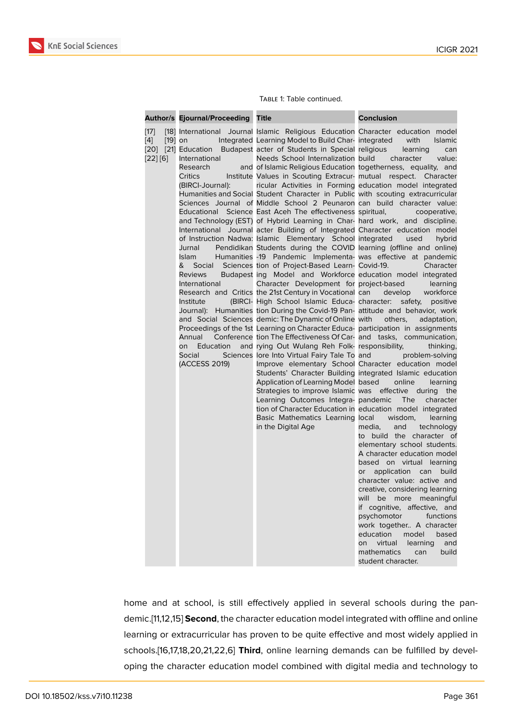|                                                              | Author/s Ejournal/Proceeding Title                                                                                                                                                                      |                                                                                                                                                                                                                                                                                                                                                                                                                                                                                                                                                                                                                                                                                                                                                                                                                                                                                                                                                                                                                                                                                                                                                                                                                                                                                                                                                                                                                                                                                                                                                                                                                                                                                                                                                                                                                                                                                                                       | <b>Conclusion</b>                                                                                                                                                                                                                                                                                                                                                                                                                                                                                                                                                                                                                                                                                                                                                                                                                                                                                                                                                                              |
|--------------------------------------------------------------|---------------------------------------------------------------------------------------------------------------------------------------------------------------------------------------------------------|-----------------------------------------------------------------------------------------------------------------------------------------------------------------------------------------------------------------------------------------------------------------------------------------------------------------------------------------------------------------------------------------------------------------------------------------------------------------------------------------------------------------------------------------------------------------------------------------------------------------------------------------------------------------------------------------------------------------------------------------------------------------------------------------------------------------------------------------------------------------------------------------------------------------------------------------------------------------------------------------------------------------------------------------------------------------------------------------------------------------------------------------------------------------------------------------------------------------------------------------------------------------------------------------------------------------------------------------------------------------------------------------------------------------------------------------------------------------------------------------------------------------------------------------------------------------------------------------------------------------------------------------------------------------------------------------------------------------------------------------------------------------------------------------------------------------------------------------------------------------------------------------------------------------------|------------------------------------------------------------------------------------------------------------------------------------------------------------------------------------------------------------------------------------------------------------------------------------------------------------------------------------------------------------------------------------------------------------------------------------------------------------------------------------------------------------------------------------------------------------------------------------------------------------------------------------------------------------------------------------------------------------------------------------------------------------------------------------------------------------------------------------------------------------------------------------------------------------------------------------------------------------------------------------------------|
| $[17]$<br>$\left[4\right]$<br>$[19]$ on<br>[20]<br>$[22][6]$ | International<br>Research<br>Critics<br>(BIRCI-Journal):<br>Educational<br>Jurnal<br>Islam<br>&<br><b>Reviews</b><br>International<br>Institute<br>Annual<br>Education<br>on<br>Social<br>(ACCESS 2019) | [18] International Journal Islamic Religious Education Character education model<br>Integrated Learning Model to Build Char-integrated<br>[21] Education Budapest acter of Students in Special religious<br>and of Islamic Religious Education togetherness, equality, and<br>Institute Values in Scouting Extracur- mutual respect. Character<br>ricular Activities in Forming education model integrated<br>Humanities and Social Student Character in Public with scouting extracurricular<br>Sciences Journal of Middle School 2 Peunaron can build character value:<br>Science East Aceh The effectiveness spiritual,<br>and Technology (EST) of Hybrid Learning in Char- hard work, and discipline.<br>International Journal acter Building of Integrated Character education model<br>of Instruction Nadwa: Islamic Elementary School integrated<br>Pendidikan Students during the COVID learning (offline and online)<br>Humanities -19 Pandemic Implementa- was effective at pandemic<br>Social Sciences tion of Project-Based Learn- Covid-19.<br>Budapest ing Model and Workforce education model integrated<br>Character Development for project-based<br>Research and Critics the 21st Century in Vocational can develop<br>(BIRCI- High School Islamic Educa- character: safety, positive<br>Journal): Humanities tion During the Covid-19 Pan- attitude and behavior, work<br>and Social Sciences demic: The Dynamic of Online with<br>Proceedings of the 1st Learning on Character Educa- participation in assignments<br>Conference tion The Effectiveness Of Car- and tasks, communication,<br>and rying Out Wulang Reh Folk- responsibility,<br>Sciences lore Into Virtual Fairy Tale To and<br>Application of Learning Model based<br>Strategies to improve Islamic was effective during<br>Learning Outcomes Integra- pandemic<br>Basic Mathematics Learning local wisdom,<br>in the Digital Age | with<br>Islamic<br>learning<br>can<br>Needs School Internalization build character value:<br>cooperative,<br>used<br>hybrid<br>Character<br>learning<br>workforce<br>others,<br>adaptation,<br>thinking,<br>problem-solving<br>Improve elementary School Character education model<br>Students' Character Building integrated Islamic education<br>online<br>learning<br>the<br>The<br>character<br>tion of Character Education in education model integrated<br>learning<br>media,<br>and<br>technology<br>to build the character of<br>elementary school students.<br>A character education model<br>based on virtual learning<br>application<br>can<br>build<br>or<br>character value: active and<br>creative, considering learning<br>will be more meaningful<br>if cognitive, affective, and<br>psychomotor<br>functions<br>an sa Ta<br>work together A character<br>education<br>model<br>based<br>virtual<br>learning<br>and<br>on<br>mathematics<br>build<br>can<br>student character. |

#### Table 1: Table continued.

home and at school, is still effectively applied in several schools during the pandemic.[11,12,15] **Second**, the character education model integrated with offline and online learning or extracurricular has proven to be quite effective and most widely applied in schools.[16,17,18,20,21,22,6] **Third**, online learning demands can be fulfilled by developing the character education model combined with digital media and technology to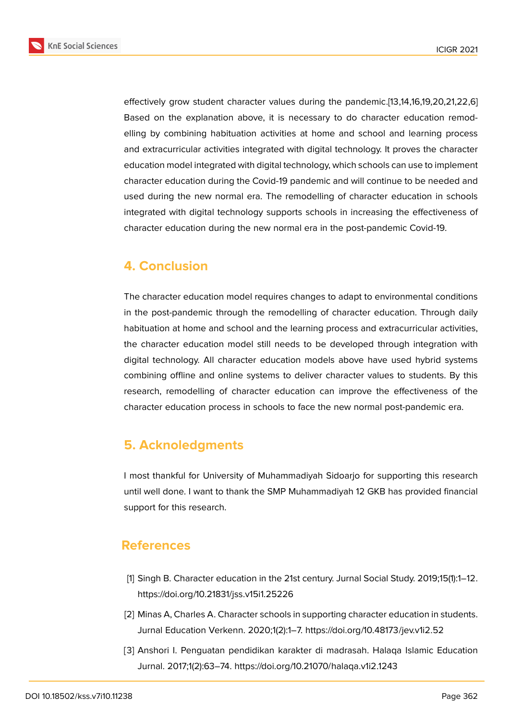**KnE Social Sciences** 



effectively grow student character values during the pandemic.[13,14,16,19,20,21,22,6] Based on the explanation above, it is necessary to do character education remodelling by combining habituation activities at home and school and learning process and extracurricular activities integrated with digital technology. It proves the character education model integrated with digital technology, which schools can use to implement character education during the Covid-19 pandemic and will continue to be needed and used during the new normal era. The remodelling of character education in schools integrated with digital technology supports schools in increasing the effectiveness of character education during the new normal era in the post-pandemic Covid-19.

## **4. Conclusion**

The character education model requires changes to adapt to environmental conditions in the post-pandemic through the remodelling of character education. Through daily habituation at home and school and the learning process and extracurricular activities, the character education model still needs to be developed through integration with digital technology. All character education models above have used hybrid systems combining offline and online systems to deliver character values to students. By this research, remodelling of character education can improve the effectiveness of the character education process in schools to face the new normal post-pandemic era.

### **5. Acknoledgments**

I most thankful for University of Muhammadiyah Sidoarjo for supporting this research until well done. I want to thank the SMP Muhammadiyah 12 GKB has provided financial support for this research.

### **References**

- <span id="page-4-0"></span>[1] Singh B. Character education in the 21st century. Jurnal Social Study. 2019;15(1):1–12. https://doi.org/10.21831/jss.v15i1.25226
- <span id="page-4-1"></span>[2] Minas A, Charles A. Character schools in supporting character education in students. Jurnal Education Verkenn. 2020;1(2):1–7. https://doi.org/10.48173/jev.v1i2.52
- <span id="page-4-2"></span>[3] Anshori I. Penguatan pendidikan karakter di madrasah. Halaqa Islamic Education Jurnal. 2017;1(2):63–74. https://doi.org/10.21070/halaqa.v1i2.1243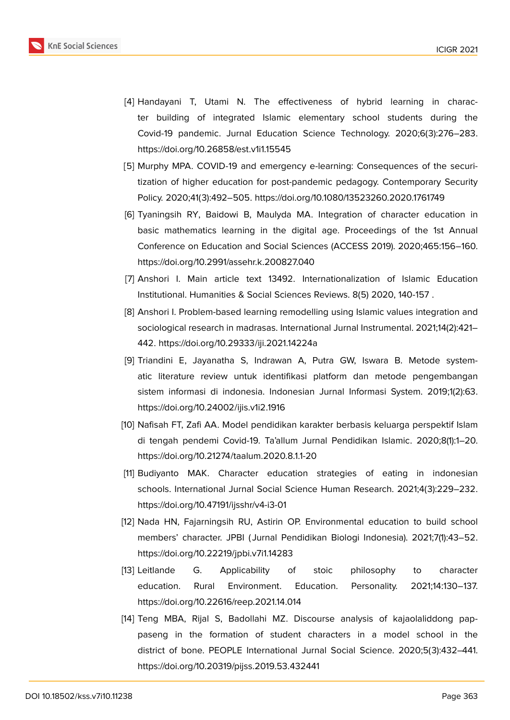

- [4] Handayani T, Utami N. The effectiveness of hybrid learning in character building of integrated Islamic elementary school students during the Covid-19 pandemic. Jurnal Education Science Technology. 2020;6(3):276–283. https://doi.org/10.26858/est.v1i1.15545
- <span id="page-5-0"></span>[5] Murphy MPA. COVID-19 and emergency e-learning: Consequences of the securitization of higher education for post-pandemic pedagogy. Contemporary Security Policy. 2020;41(3):492–505. https://doi.org/10.1080/13523260.2020.1761749
- <span id="page-5-1"></span>[6] Tyaningsih RY, Baidowi B, Maulyda MA. Integration of character education in basic mathematics learning in the digital age. Proceedings of the 1st Annual Conference on Education and Social Sciences (ACCESS 2019). 2020;465:156–160. https://doi.org/10.2991/assehr.k.200827.040
- <span id="page-5-2"></span>[7] Anshori I. Main article text 13492. Internationalization of Islamic Education Institutional. Humanities & Social Sciences Reviews. 8(5) 2020, 140-157 .
- <span id="page-5-3"></span>[8] Anshori I. Problem-based learning remodelling using Islamic values integration and sociological research in madrasas. International Jurnal Instrumental. 2021;14(2):421– 442. https://doi.org/10.29333/iji.2021.14224a
- <span id="page-5-4"></span>[9] Triandini E, Jayanatha S, Indrawan A, Putra GW, Iswara B. Metode systematic literature review untuk identifikasi platform dan metode pengembangan sistem informasi di indonesia. Indonesian Jurnal Informasi System. 2019;1(2):63. https://doi.org/10.24002/ijis.v1i2.1916
- [10] Nafisah FT, Zafi AA. Model pendidikan karakter berbasis keluarga perspektif Islam di tengah pendemi Covid-19. Ta'allum Jurnal Pendidikan Islamic. 2020;8(1):1–20. https://doi.org/10.21274/taalum.2020.8.1.1-20
- <span id="page-5-5"></span>[11] Budiyanto MAK. Character education strategies of eating in indonesian schools. International Jurnal Social Science Human Research. 2021;4(3):229–232. https://doi.org/10.47191/ijsshr/v4-i3-01
- [12] Nada HN, Fajarningsih RU, Astirin OP. Environmental education to build school members' character. JPBI ( Jurnal Pendidikan Biologi Indonesia). 2021;7(1):43–52. https://doi.org/10.22219/jpbi.v7i1.14283
- [13] Leitlande G. Applicability of stoic philosophy to character education. Rural Environment. Education. Personality. 2021;14:130–137. https://doi.org/10.22616/reep.2021.14.014
- [14] Teng MBA, Rijal S, Badollahi MZ. Discourse analysis of kajaolaliddong pappaseng in the formation of student characters in a model school in the district of bone. PEOPLE International Jurnal Social Science. 2020;5(3):432–441. https://doi.org/10.20319/pijss.2019.53.432441